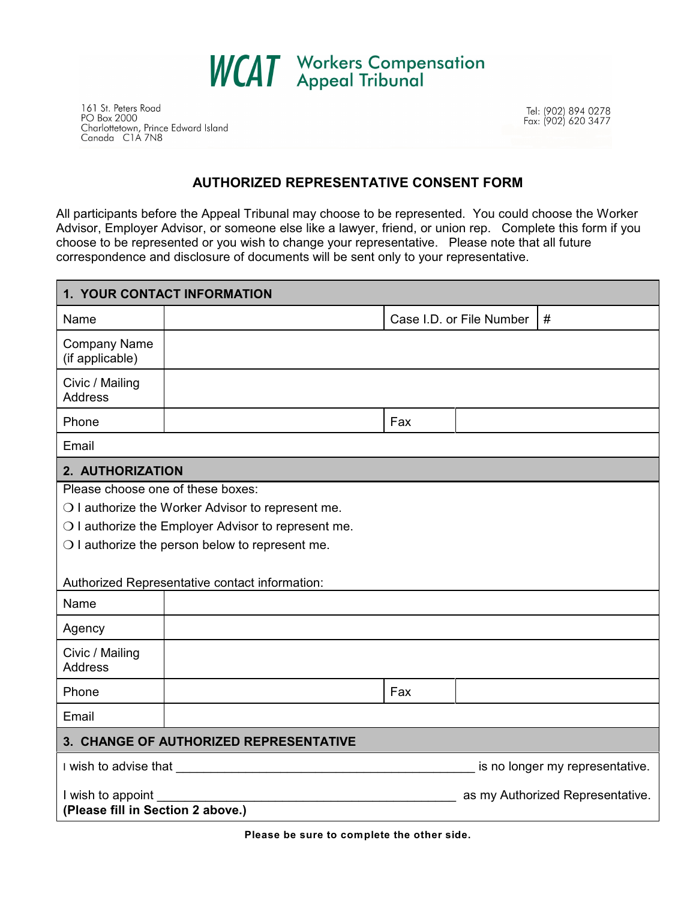

161 St. Peters Road PO Box 2000 Charlottetown, Prince Edward Island<br>Canada CIA 7N8 Tel: (902) 894 0278<br>Fax: (902) 620 3477

## **AUTHORIZED REPRESENTATIVE CONSENT FORM**

All participants before the Appeal Tribunal may choose to be represented. You could choose the Worker Advisor, Employer Advisor, or someone else like a lawyer, friend, or union rep. Complete this form if you choose to be represented or you wish to change your representative. Please note that all future correspondence and disclosure of documents will be sent only to your representative.

| 1. YOUR CONTACT INFORMATION                                                                                   |  |     |                                  |  |
|---------------------------------------------------------------------------------------------------------------|--|-----|----------------------------------|--|
| Name                                                                                                          |  |     | Case I.D. or File Number<br>#    |  |
| <b>Company Name</b><br>(if applicable)                                                                        |  |     |                                  |  |
| Civic / Mailing<br><b>Address</b>                                                                             |  |     |                                  |  |
| Phone                                                                                                         |  | Fax |                                  |  |
| Email                                                                                                         |  |     |                                  |  |
| 2. AUTHORIZATION                                                                                              |  |     |                                  |  |
| Please choose one of these boxes:                                                                             |  |     |                                  |  |
| O I authorize the Worker Advisor to represent me.                                                             |  |     |                                  |  |
| O I authorize the Employer Advisor to represent me.                                                           |  |     |                                  |  |
| $\bigcirc$ I authorize the person below to represent me.                                                      |  |     |                                  |  |
|                                                                                                               |  |     |                                  |  |
| Authorized Representative contact information:                                                                |  |     |                                  |  |
| Name                                                                                                          |  |     |                                  |  |
| Agency                                                                                                        |  |     |                                  |  |
| Civic / Mailing<br><b>Address</b>                                                                             |  |     |                                  |  |
| Phone                                                                                                         |  | Fax |                                  |  |
| Email                                                                                                         |  |     |                                  |  |
| 3. CHANGE OF AUTHORIZED REPRESENTATIVE                                                                        |  |     |                                  |  |
| I wish to advise that the state of the state of the state of the state of the state of the state of the state |  |     | is no longer my representative.  |  |
| I wish to appoint<br>(Please fill in Section 2 above.)                                                        |  |     | as my Authorized Representative. |  |